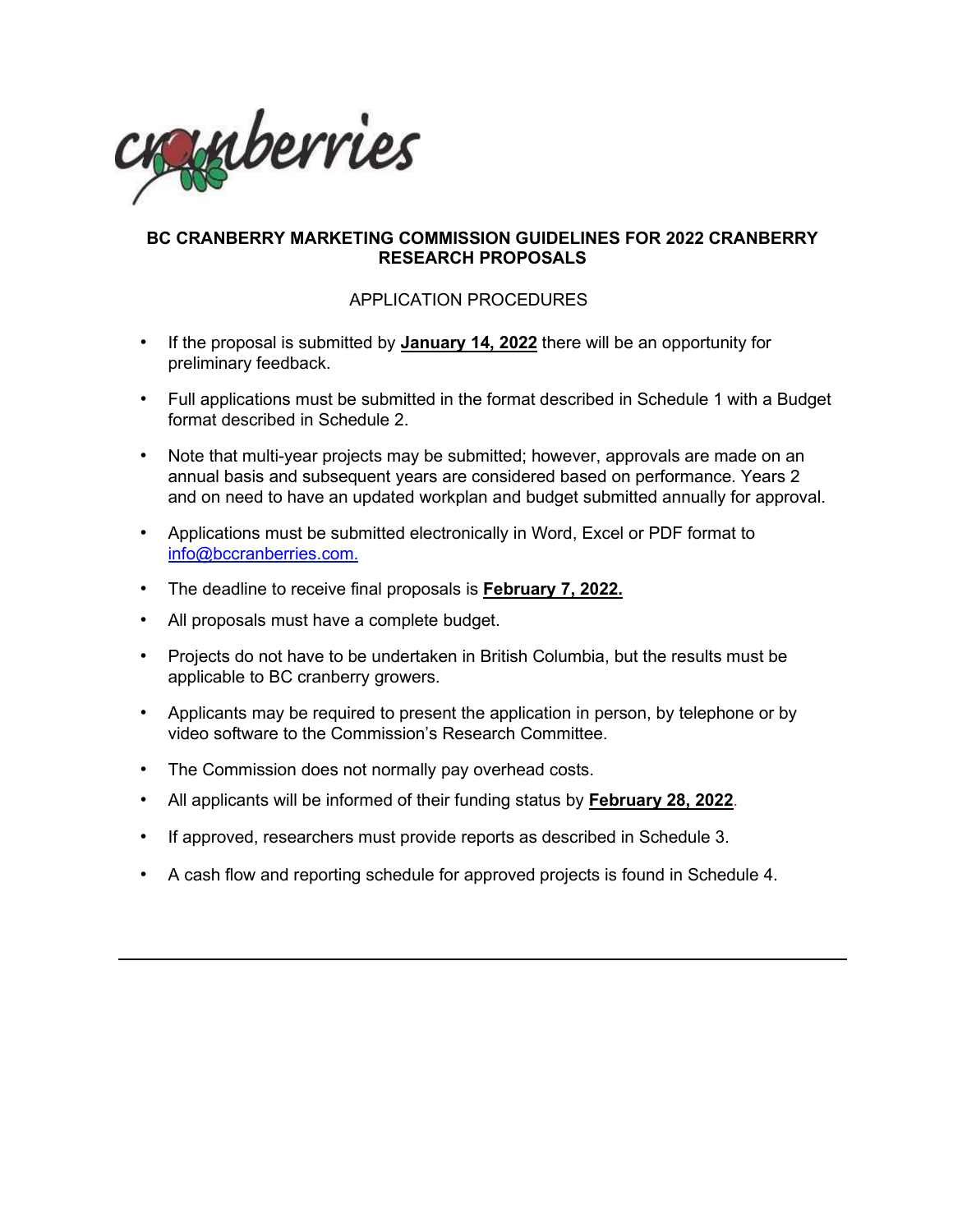

## **BC CRANBERRY MARKETING COMMISSION GUIDELINES FOR 2022 CRANBERRY RESEARCH PROPOSALS**

# APPLICATION PROCEDURES

- If the proposal is submitted by **January 14, 2022** there will be an opportunity for preliminary feedback.
- Full applications must be submitted in the format described in Schedule 1 with a Budget format described in Schedule 2.
- Note that multi-year projects may be submitted; however, approvals are made on an annual basis and subsequent years are considered based on performance. Years 2 and on need to have an updated workplan and budget submitted annually for approval.
- Applications must be submitted electronically in Word, Excel or PDF format to info@bccranberries.com.
- The deadline to receive final proposals is **February 7, 2022.**
- All proposals must have a complete budget.
- Projects do not have to be undertaken in British Columbia, but the results must be applicable to BC cranberry growers.
- Applicants may be required to present the application in person, by telephone or by video software to the Commission's Research Committee.
- The Commission does not normally pay overhead costs.
- All applicants will be informed of their funding status by **February 28, 2022**.
- If approved, researchers must provide reports as described in Schedule 3.
- A cash flow and reporting schedule for approved projects is found in Schedule 4.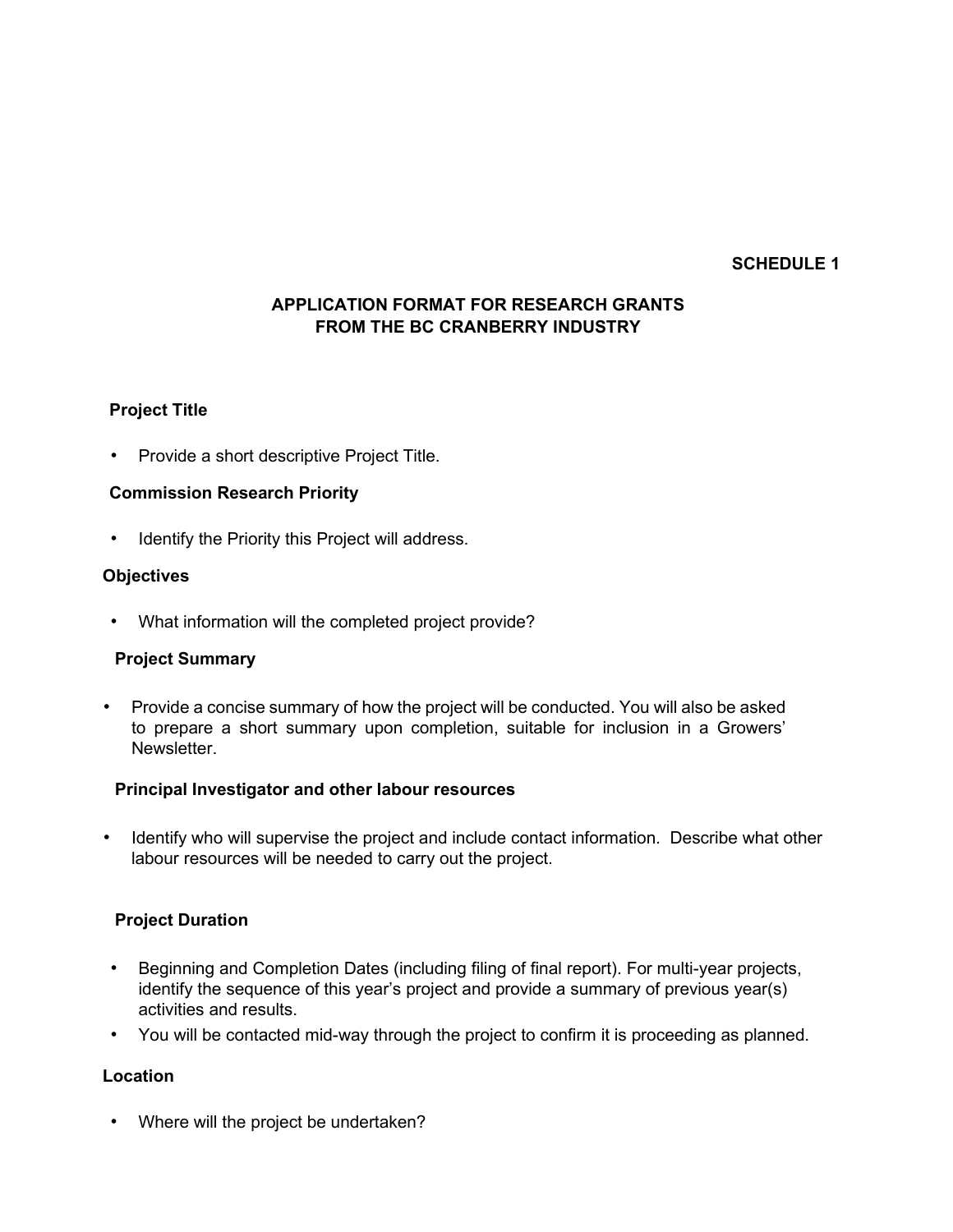## **SCHEDULE 1**

# **APPLICATION FORMAT FOR RESEARCH GRANTS FROM THE BC CRANBERRY INDUSTRY**

### **Project Title**

• Provide a short descriptive Project Title.

### **Commission Research Priority**

Identify the Priority this Project will address.

### **Objectives**

• What information will the completed project provide?

### **Project Summary**

• Provide a concise summary of how the project will be conducted. You will also be asked to prepare a short summary upon completion, suitable for inclusion in a Growers' **Newsletter** 

#### **Principal Investigator and other labour resources**

• Identify who will supervise the project and include contact information. Describe what other labour resources will be needed to carry out the project.

### **Project Duration**

- Beginning and Completion Dates (including filing of final report). For multi-year projects, identify the sequence of this year's project and provide a summary of previous year(s) activities and results.
- You will be contacted mid-way through the project to confirm it is proceeding as planned.

### **Location**

Where will the project be undertaken?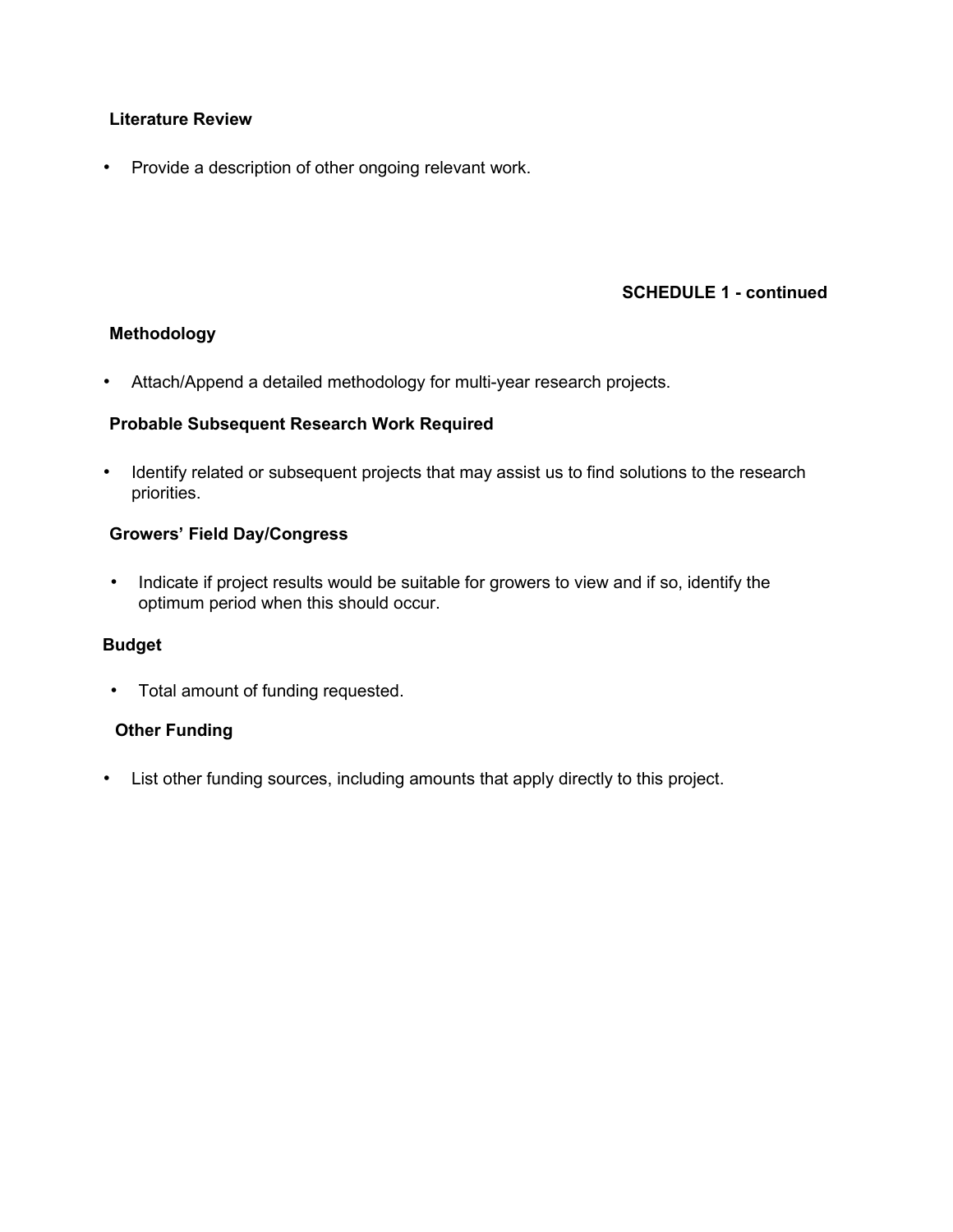# **Literature Review**

• Provide a description of other ongoing relevant work.

# **SCHEDULE 1 - continued**

### **Methodology**

• Attach/Append a detailed methodology for multi-year research projects.

### **Probable Subsequent Research Work Required**

• Identify related or subsequent projects that may assist us to find solutions to the research priorities.

# **Growers' Field Day/Congress**

• Indicate if project results would be suitable for growers to view and if so, identify the optimum period when this should occur.

### **Budget**

• Total amount of funding requested.

# **Other Funding**

• List other funding sources, including amounts that apply directly to this project.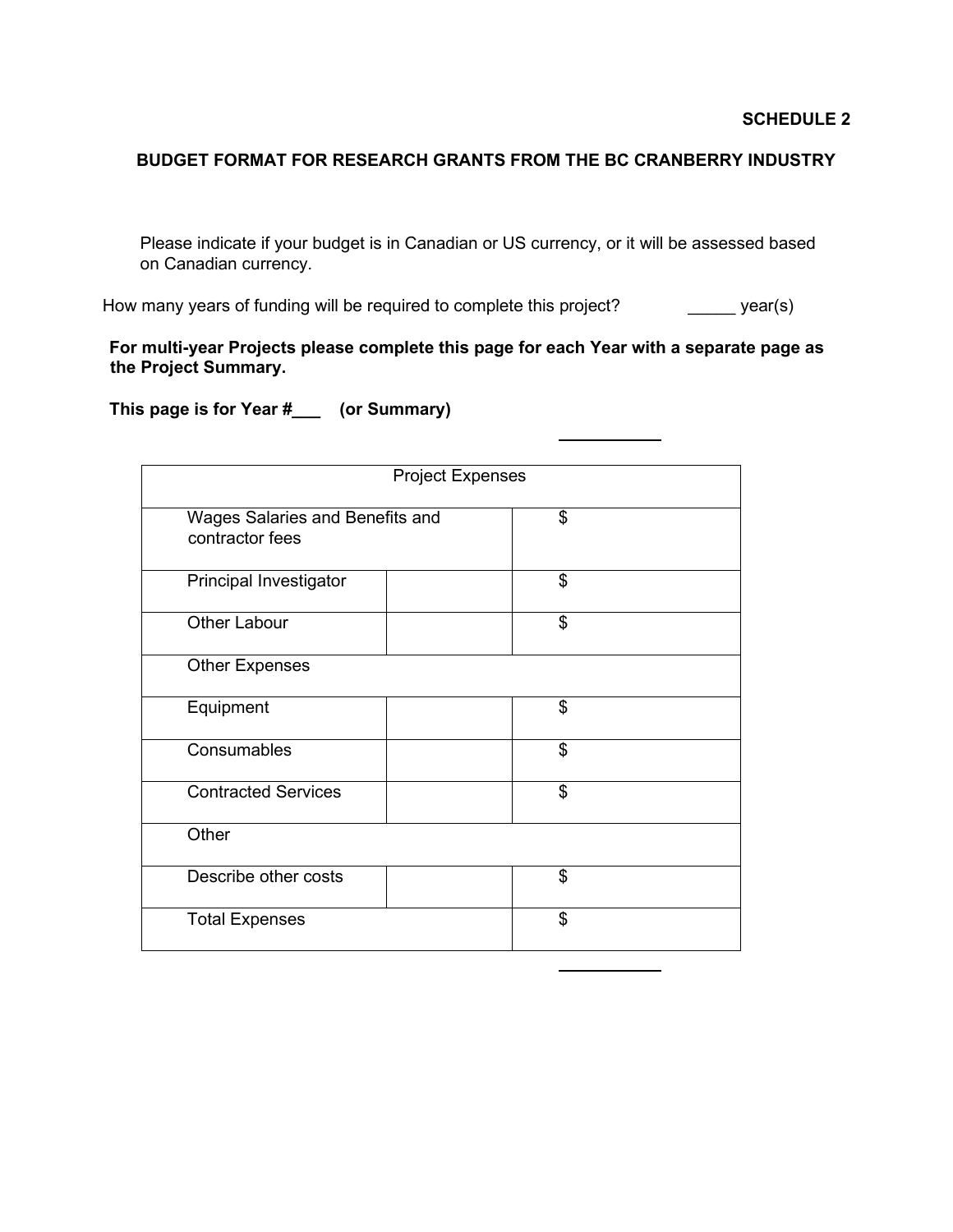#### **BUDGET FORMAT FOR RESEARCH GRANTS FROM THE BC CRANBERRY INDUSTRY**

Please indicate if your budget is in Canadian or US currency, or it will be assessed based on Canadian currency.

How many years of funding will be required to complete this project? \_\_\_\_\_\_\_\_\_ year(s)

**For multi-year Projects please complete this page for each Year with a separate page as the Project Summary.** 

**This page is for Year #\_\_\_ (or Summary)** 

| <b>Project Expenses</b>                            |  |    |  |
|----------------------------------------------------|--|----|--|
| Wages Salaries and Benefits and<br>contractor fees |  | \$ |  |
| Principal Investigator                             |  | \$ |  |
| <b>Other Labour</b>                                |  | \$ |  |
| <b>Other Expenses</b>                              |  |    |  |
| Equipment                                          |  | \$ |  |
| Consumables                                        |  | \$ |  |
| <b>Contracted Services</b>                         |  | \$ |  |
| Other                                              |  |    |  |
| Describe other costs                               |  | \$ |  |
| <b>Total Expenses</b>                              |  | \$ |  |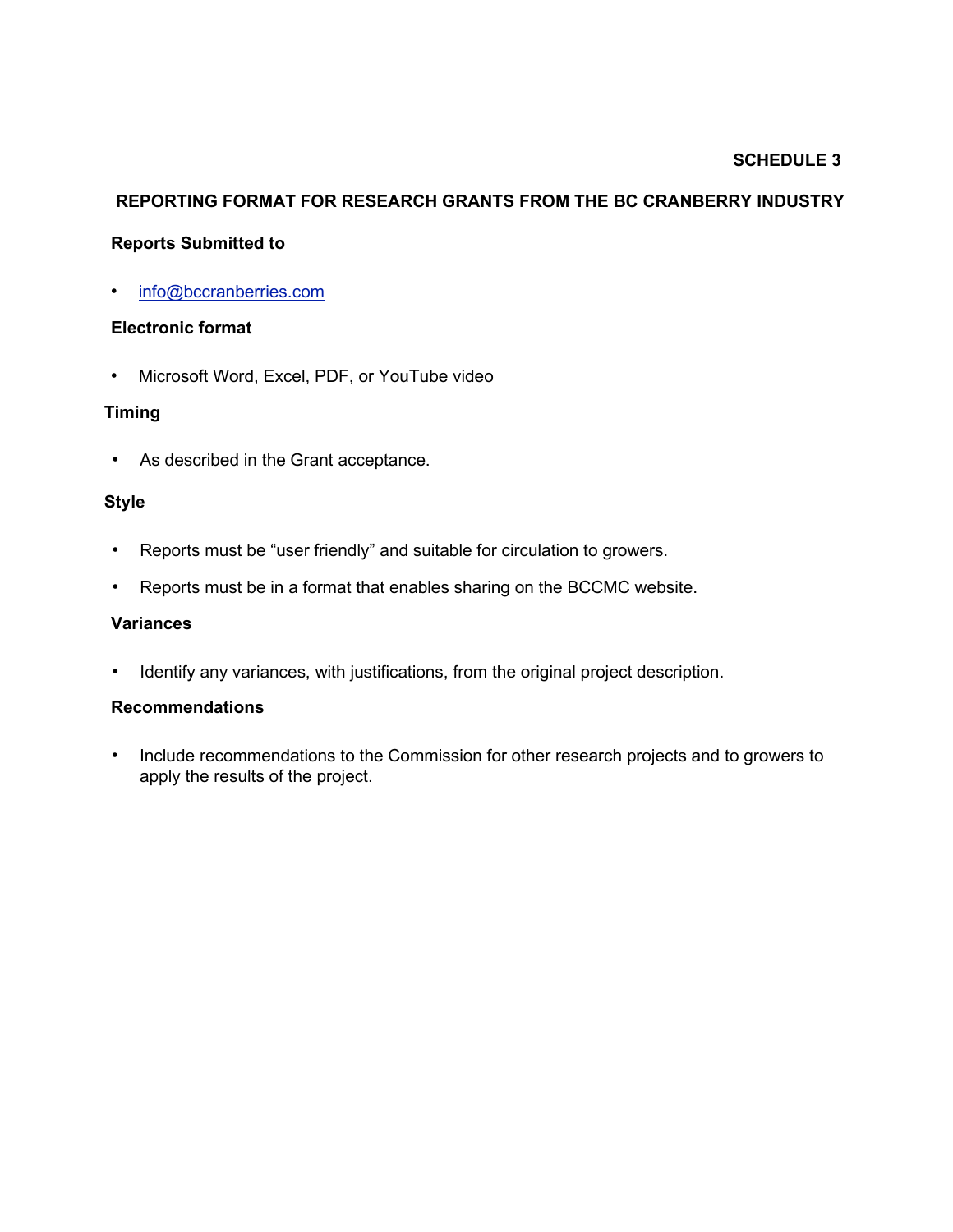# **SCHEDULE 3**

# **REPORTING FORMAT FOR RESEARCH GRANTS FROM THE BC CRANBERRY INDUSTRY**

#### **Reports Submitted to**

• info@bccranberries.com

#### **Electronic format**

• Microsoft Word, Excel, PDF, or YouTube video

# **Timing**

• As described in the Grant acceptance.

#### **Style**

- Reports must be "user friendly" and suitable for circulation to growers.
- Reports must be in a format that enables sharing on the BCCMC website.

#### **Variances**

• Identify any variances, with justifications, from the original project description.

#### **Recommendations**

• Include recommendations to the Commission for other research projects and to growers to apply the results of the project.